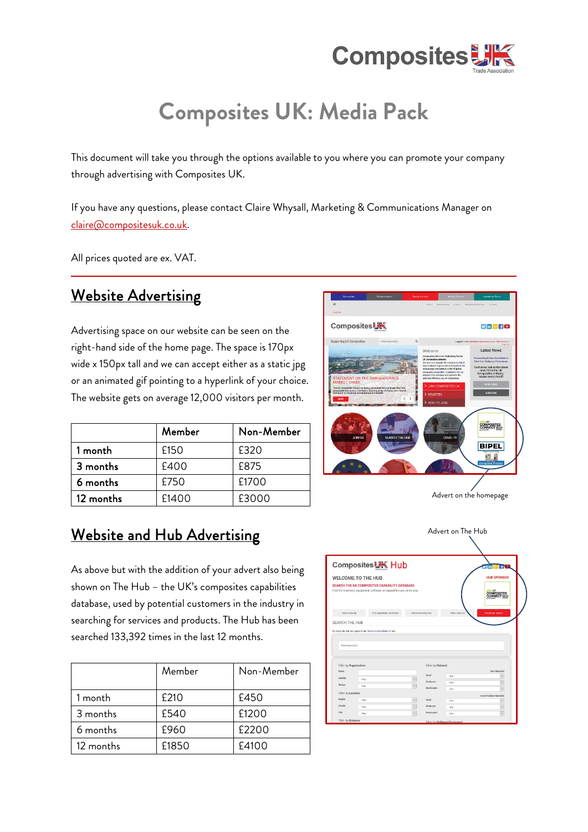

# **Composites UK: Media Pack**

This document will take you through the options available to you where you can promote your company through advertising with Composites UK.

If you have any questions, please contact Claire Whysall, Marketing & Communications Manager on [claire@compositesuk.co.uk.](mailto:claire@compositesuk.co.uk) 

All prices quoted are ex. VAT.

### Website Advertising

Advertising space on our website can be seen on the right-hand side of the home page. The space is 170px wide x 150px tall and we can accept either as a static jpg or an animated gif pointing to a hyperlink of your choice. The website gets on average 12,000 visitors per month.

|           | Member | Non-Member |
|-----------|--------|------------|
| 1 month   | £150   | £320       |
| 3 months  | £400   | £875       |
| 6 months  | £750   | £1700      |
| 12 months | £1400  | £3000      |

### Website and Hub Advertising

As above but with the addition of your advert also being shown on The Hub – the UK's composites capabilities database, used by potential customers in the industry in searching for services and products. The Hub has been searched 133,392 times in the last 12 months.

|           | Member | Non-Member |
|-----------|--------|------------|
| 1 month   | £210   | £450       |
| 3 months  | £540   | £1200      |
| 6 months  | £960   | £2200      |
| 12 months | £1850  | £4100      |



Advert on the homepage

Advert on The Hub

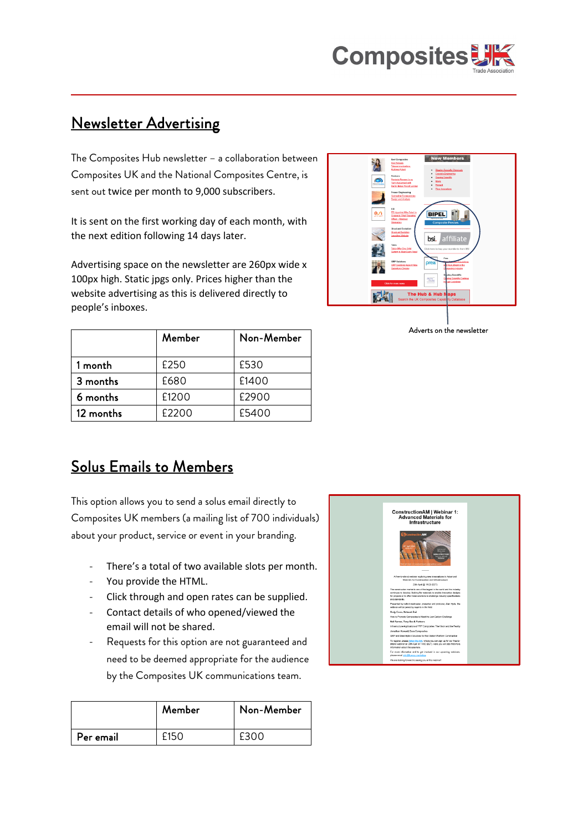

### Newsletter Advertising

The Composites Hub newsletter – a collaboration between Composites UK and the National Composites Centre, is sent out twice per month to 9,000 subscribers.

It is sent on the first working day of each month, with the next edition following 14 days later.

Advertising space on the newsletter are 260px wide x 100px high. Static jpgs only. Prices higher than the website advertising as this is delivered directly to people's inboxes.

|           | Member | Non-Member |
|-----------|--------|------------|
| 1 month   | £250   | £530       |
| 3 months  | £680   | £1400      |
| 6 months  | £1200  | £2900      |
| 12 months | £2200  | £5400      |



Adverts on the newsletter

### Solus Emails to Members

This option allows you to send a solus email directly to Composites UK members (a mailing list of 700 individuals) about your product, service or event in your branding.

- There's a total of two available slots per month.
- You provide the HTML.
- Click through and open rates can be supplied.
- Contact details of who opened/viewed the email will not be shared.
- Requests for this option are not guaranteed and need to be deemed appropriate for the audience by the Composites UK communications team.

|           | Member | Non-Member |
|-----------|--------|------------|
| Per email |        | £300       |

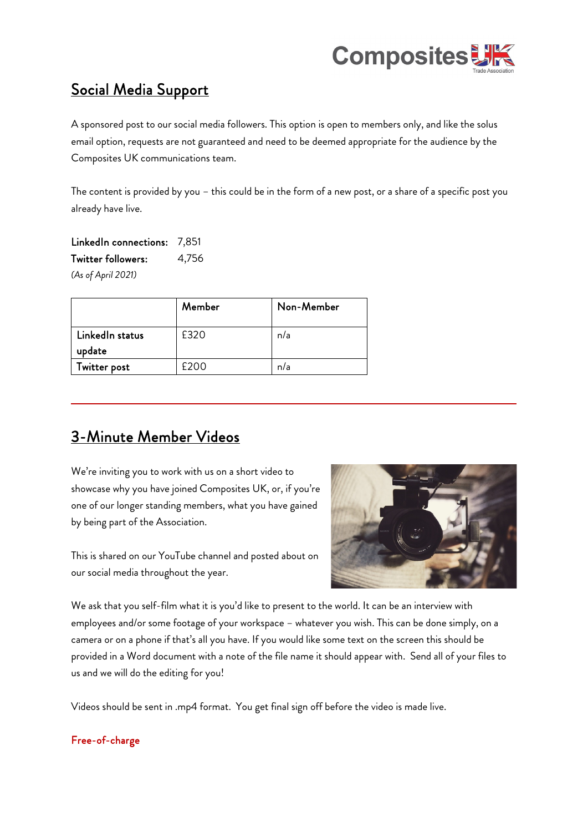

## Social Media Support

A sponsored post to our social media followers. This option is open to members only, and like the solus email option, requests are not guaranteed and need to be deemed appropriate for the audience by the Composites UK communications team.

The content is provided by you – this could be in the form of a new post, or a share of a specific post you already have live.

LinkedIn connections: 7,851 Twitter followers: 4,756 *(As of April 2021)*

|                 | Member | Non-Member |
|-----------------|--------|------------|
| LinkedIn status | £320   | n/a        |
| update          |        |            |
| Twitter post    | F200   | n/a        |

### 3-Minute Member Videos

We're inviting you to work with us on a short video to showcase why you have joined Composites UK, or, if you're one of our longer standing members, what you have gained by being part of the Association.

This is shared on our YouTube channel and posted about on our social media throughout the year.



We ask that you self-film what it is you'd like to present to the world. It can be an interview with employees and/or some footage of your workspace – whatever you wish. This can be done simply, on a camera or on a phone if that's all you have. If you would like some text on the screen this should be provided in a Word document with a note of the file name it should appear with. Send all of your files to us and we will do the editing for you!

Videos should be sent in .mp4 format. You get final sign off before the video is made live.

#### Free-of-charge